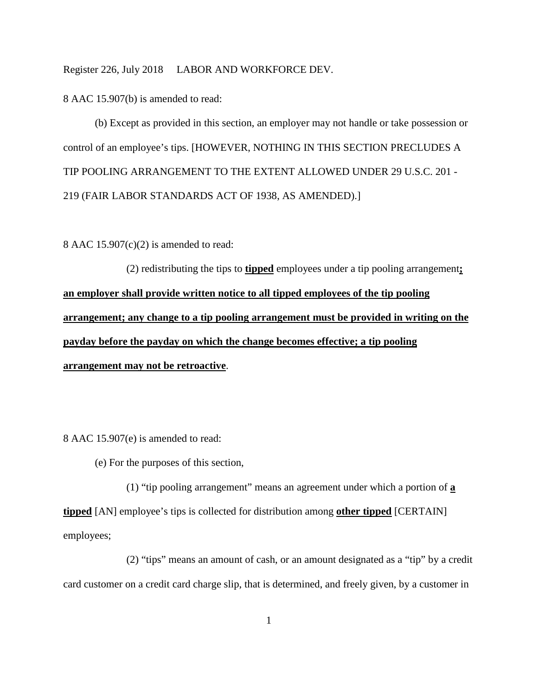Register 226, July 2018 LABOR AND WORKFORCE DEV.

8 AAC 15.907(b) is amended to read:

(b) Except as provided in this section, an employer may not handle or take possession or control of an employee's tips. [HOWEVER, NOTHING IN THIS SECTION PRECLUDES A TIP POOLING ARRANGEMENT TO THE EXTENT ALLOWED UNDER 29 U.S.C. 201 - 219 (FAIR LABOR STANDARDS ACT OF 1938, AS AMENDED).]

8 AAC  $15.907(c)(2)$  is amended to read:

(2) redistributing the tips to **tipped** employees under a tip pooling arrangement**; an employer shall provide written notice to all tipped employees of the tip pooling arrangement; any change to a tip pooling arrangement must be provided in writing on the payday before the payday on which the change becomes effective; a tip pooling arrangement may not be retroactive**.

8 AAC 15.907(e) is amended to read:

(e) For the purposes of this section,

(1) "tip pooling arrangement" means an agreement under which a portion of **a tipped** [AN] employee's tips is collected for distribution among **other tipped** [CERTAIN] employees;

(2) "tips" means an amount of cash, or an amount designated as a "tip" by a credit card customer on a credit card charge slip, that is determined, and freely given, by a customer in